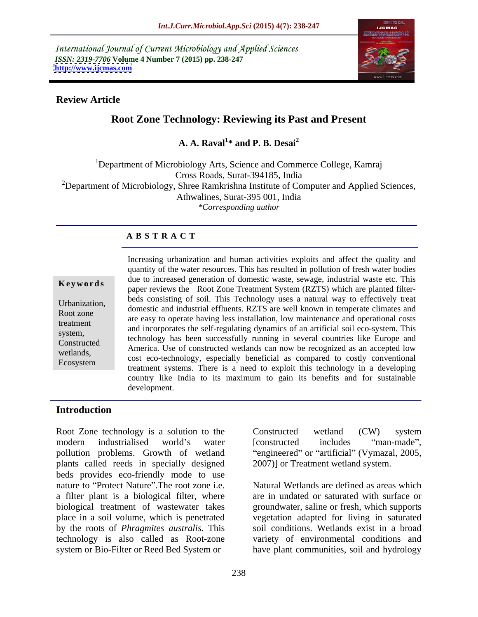International Journal of Current Microbiology and Applied Sciences *ISSN: 2319-7706* **Volume 4 Number 7 (2015) pp. 238-247 <http://www.ijcmas.com>**



## **Review Article**

# **Root Zone Technology: Reviewing its Past and Present**

#### **A. A. Raval**<sup>1\*</sup> and **P. R. Desai**<sup>2</sup> **\* and P. B. Desai<sup>2</sup>**

<sup>1</sup>Department of Microbiology Arts, Science and Commerce College, Kamraj Cross Roads, Surat-394185, India  $2D$ epartment of Microbiology, Shree Ramkrishna Institute of Computer and Applied Sciences, Athwalines, Surat-395 001, India *\*Corresponding author*

## **A B S T R A C T**

Ecosystem

Increasing urbanization and human activities exploits and affect the quality and quantity of the water resources. This has resulted in pollution of fresh water bodies due to increased generation of domestic waste, sewage, industrial waste etc. This **Example 19 Reywords** and the Root Zone Treatment System (RZTS) which are planted filter-<br>paper reviews the Root Zone Treatment System (RZTS) which are planted filterbeds consisting of soil. This Technology uses a natural way to effectively treat Urbanization,<br>
domestic and industrial effluents. RZTS are well known in temperate climates and<br>
Urbanization, Root zone<br>
are easy to operate having less installation, low maintenance and operational costs treatment<br>and incorporates the self-regulating dynamics of an artificial soil eco-system. This system,<br>
technology has been successfully running in several countries like Europe and<br>
technology has been successfully running in several countries like Europe and America. Use of constructed wetlands can now be recognized as an accepted low Constructed wetlands,<br>
cost eco-technology, especially beneficial as compared to costly conventional<br>
wetlands,<br>
wetlands, treatment systems. There is a need to exploit this technology in a developing country like India to its maximum to gain its benefits and for sustainable development.

## **Introduction**

Root Zone technology is a solution to the Constructed wetland (CW) system modern industrialised world's water [constructed includes "man-made", pollution problems. Growth of wetland "engineered" or "artificial" (Vymazal, 2005, plants called reeds in specially designed beds provides eco-friendly mode to use nature to "Protect Nature".The root zone i.e. a filter plant is a biological filter, where biological treatment of wastewater takes groundwater, saline or fresh, which supports place in a soil volume, which is penetrated by the roots of *Phragmites australis*. This technology is also called as Root-zone system or Bio-Filter or Reed Bed System or

Constructed wetland (CW) system [constructed includes "man-made", 2007)] or Treatment wetland system.

Natural Wetlands are defined as areas which are in undated or saturated with surface or vegetation adapted for living in saturated soil conditions. Wetlands exist in a broad variety of environmental conditions and have plant communities, soil and hydrology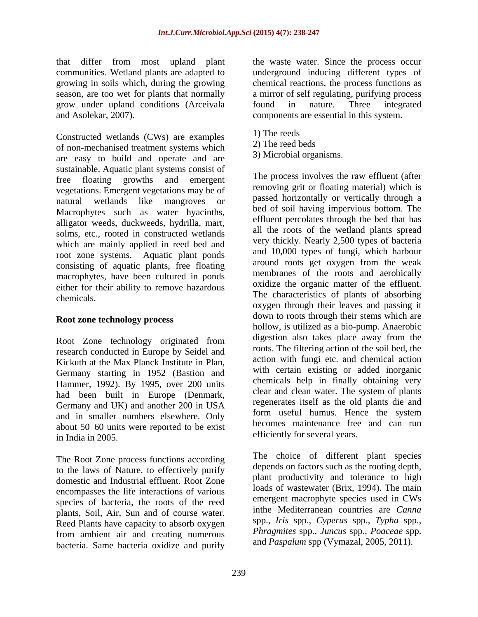grow under upland conditions (Arceivala found in nature. Three integrated and Asolekar, 2007). components are essential in this system.

Constructed wetlands (CWs) are examples  $\begin{array}{c} 1 \text{)}$  The reeds of non-morbined tractment systems which  $\end{array}$  2) The reed beds of non-mechanised treatment systems which are easy to build and operate and are sustainable. Aquatic plant systems consist of free floating growths and emergent vegetations. Emergent vegetations may be of natural wetlands like mangroves or Macrophytes such as water hyacinths, alligator weeds, duckweeds, hydrilla, mart, solms, etc., rooted in constructed wetlands which are mainly applied in reed bed and root zone systems. Aquatic plant ponds consisting of aquatic plants, free floating macrophytes, have been cultured in ponds either for their ability to remove hazardous

### **Root zone technology process**

Root Zone technology originated from research conducted in Europe by Seidel and Kickuth at the Max Planck Institute in Plan, Germany starting in 1952 (Bastion and Hammer, 1992). By 1995, over 200 units had been built in Europe (Denmark, Germany and UK) and another 200 in USA regenerates itself as the old plants die and<br>
sand in smaller numbers electrons. Only and in smaller numbers elsewhere. Only about 50–60 units were reported to be exist in India in 2005. efficiently for several years.

The Root Zone process functions according to the laws of Nature, to effectively purify domestic and Industrial effluent. Root Zone encompasses the life interactions of various species of bacteria, the roots of the reed plants, Soil, Air, Sun and of course water. Reed Plants have capacity to absorb oxygen from ambient air and creating numerous bacteria. Same bacteria oxidize and purify

that differ from most upland plant the waste water. Since the process occur communities. Wetland plants are adapted to underground inducing different types of growing in soils which, during the growing chemical reactions, the process functions as season, are too wet for plants that normally a mirror of self regulating, purifying process found in nature. Three integrated

- 1) The reeds
- 2) The reed beds
- 3) Microbial organisms.

chemicals. The characteristics of plants of absorbing The process involves the raw effluent (after removing grit or floating material) which is passed horizontally or vertically through a bed of soil having impervious bottom. The effluent percolates through the bed that has all the roots of the wetland plants spread very thickly. Nearly 2,500 types of bacteria and 10,000 types of fungi, which harbour around roots get oxygen from the weak membranes of the roots and aerobically oxidize the organic matter of the effluent. oxygen through their leaves and passing it down to roots through their stems which are hollow, is utilized as a bio-pump. Anaerobic digestion also takes place away from the roots. The filtering action of the soil bed, the action with fungi etc. and chemical action with certain existing or added inorganic chemicals help in finally obtaining very clear and clean water. The system of plants regenerates itself as the old plants die and form useful humus. Hence the system becomes maintenance free and can run

> The choice of different plant species depends on factors such as the rooting depth, plant productivity and tolerance to high loads of wastewater (Brix, 1994). The main emergent macrophyte species used in CWs inthe Mediterranean countries are *Canna* spp., *Iris* spp., *Cyperus* spp., *Typha* spp., *Phragmites* spp., *Juncus* spp., *Poaceae* spp. and *Paspalum* spp (Vymazal, 2005, 2011).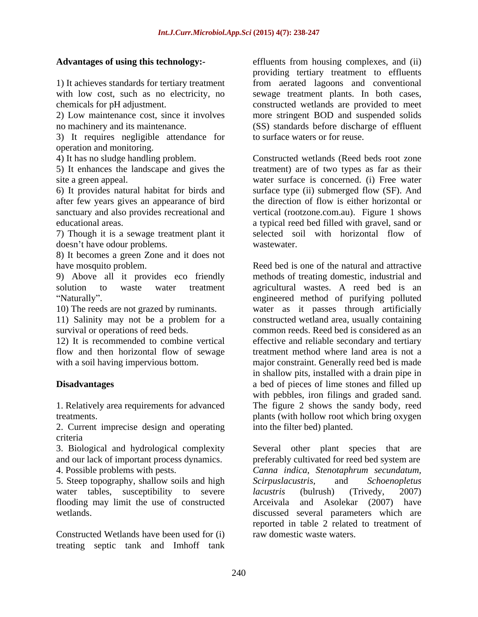3) It requires negligible attendance for operation and monitoring.

after few years gives an appearance of bird

7) Though it is a sewage treatment plant it doesn't have odour problems. Wastewater.

8) It becomes a green Zone and it does not

11) Salinity may not be a problem for a

2. Current imprecise design and operating criteria

water tables, susceptibility to severe *lacustris* (bulrush) (Trivedy, 2007) flooding may limit the use of constructed

Constructed Wetlands have been used for (i) treating septic tank and Imhoff tank

**Advantages of using this technology:***-* effluents from housing complexes, and (ii) 1) It achieves standards for tertiary treatment from aerated lagoons and conventional with low cost, such as no electricity, no sewage treatment plants. In both cases, chemicals for pH adjustment. constructed wetlands are provided to meet 2) Low maintenance cost, since it involves more stringent BOD and suspended solids no machinery and its maintenance. (SS) standards before discharge of effluent providing tertiary treatment to effluents to surface waters or for reuse.

4) It has no sludge handling problem. Constructed wetlands (Reed beds root zone 5) It enhances the landscape and gives the treatment) are of two types as far as their site a green appeal. water surface is concerned. (i) Free water 6) It provides natural habitat for birds and surface type (ii) submerged flow (SF). And sanctuary and also provides recreational and vertical (rootzone.com.au). Figure 1 shows educational areas. a typical reed bed filled with gravel, sand or the direction of flow is either horizontal or selected soil with horizontal flow of wastewater.

have mosquito problem. Reed bed is one of the natural and attractive 9) Above all it provides eco friendly methods of treating domestic, industrial and solution to waste water treatment agricultural wastes. A reed bed is an Naturally". The engineered method of purifying polluted 10) The reeds are not grazed by ruminants. water as it passes through artificially survival or operations of reed beds. common reeds. Reed bed is considered as an 12) It is recommended to combine vertical effective and reliable secondary and tertiary flow and then horizontal flow of sewage treatment method where land area is not a with a soil having impervious bottom. major constraint. Generally reed bed is made **Disadvantages** a bed of pieces of lime stones and filled up 1. Relatively area requirements for advanced The figure 2 shows the sandy body, reed treatments. plants (with hollow root which bring oxygen constructed wetland area, usually containing in shallow pits, installed with a drain pipe in with pebbles, iron filings and graded sand. into the filter bed) planted.

3. Biological and hydrological complexity Several other plant species that are and our lack of important process dynamics. preferably cultivated for reed bed system are 4. Possible problems with pests. *Canna indica*, *Stenotaphrum secundatum,*  5. Steep topography, shallow soils and high Scirpuslacustris, and Schoenopletus wetlands. discussed several parameters which are *Scirpuslacustris,* and *Schoenopletus lacustris* (bulrush) (Trivedy, 2007) Arceivala and Asolekar (2007) have reported in table 2 related to treatment of raw domestic waste waters.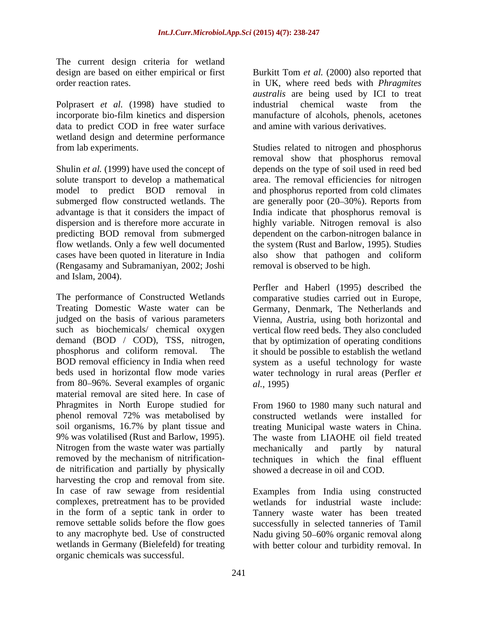The current design criteria for wetland

Polprasert *et al.* (1998) have studied to industrial chemical waste from the data to predict COD in free water surface wetland design and determine performance

Shulin *et al.* (1999) have used the concept of cases have been quoted in literature in India (Rengasamy and Subramaniyan, 2002; Joshi and Islam, 2004).

The performance of Constructed Wetlands comparative studies carried out in Europe, Treating Domestic Waste water can be Germany, Denmark, The Netherlands and judged on the basis of various parameters Vienna, Austria, using both horizontal and such as biochemicals/ chemical oxygen vertical flow reed beds. They also concluded demand (BOD / COD), TSS, nitrogen, that by optimization of operating conditions phosphorus and coliform removal. The it should be possible to establish the wetland BOD removal efficiency in India when reed system as a useful technology for waste beds used in horizontal flow mode varies water technology in rural areas (Perfler *et*  from 80–96%. Several examples of organic *al.*, 1995) material removal are sited here. In case of Phragmites in North Europe studied for From 1960 to 1980 many such natural and phenol removal 72% was metabolised by soil organisms, 16.7% by plant tissue and treating Municipal waste waters in China. 9% was volatilised (Rust and Barlow, 1995). The waste from LIAOHE oil field treated Nitrogen from the waste water was partially mechanically and partly by natural removed by the mechanism of nitrification- techniques in which the final effluent de nitrification and partially by physically harvesting the crop and removal from site. In case of raw sewage from residential Examples from India using constructed complexes, pretreatment has to be provided wetlands for industrial waste include: in the form of a septic tank in order to Tannery waste water has been treated remove settable solids before the flow goes to any macrophyte bed. Use of constructed Nadu giving 50 60% organic removal along wetlands in Germany (Bielefeld) for treating with better colour and turbidity removal. Inorganic chemicals was successful.

design are based on either empirical or first Burkitt Tom *et al.* (2000) also reported that order reaction rates. in UK, where reed beds with *Phragmites* incorporate bio-film kinetics and dispersion manufacture of alcohols, phenols, acetones *australis* are being used by ICI to treat industrial chemical waste from the and amine with various derivatives.

from lab experiments. Studies related to nitrogen and phosphorus solute transport to develop a mathematical area. The removal efficiencies for nitrogen model to predict BOD removal in and phosphorus reported from cold climates submerged flow constructed wetlands. The are generally poor (20–30%). Reports from advantage is that it considers the impact of India indicate that phosphorus removal is dispersion and is therefore more accurate in highly variable. Nitrogen removal is also predicting BOD removal from submerged dependent on the carbon-nitrogen balance in flow wetlands. Only a few well documented the system (Rust and Barlow, 1995). Studies removal show that phosphorus removal depends on the type of soil used in reed bed also show that pathogen and coliform removal is observed to be high.

> Perfler and Haberl (1995) described the *al.,* 1995)

constructed wetlands were installed for mechanically and partly by natural showed a decrease in oil and COD.

successfully in selected tanneries of Tamil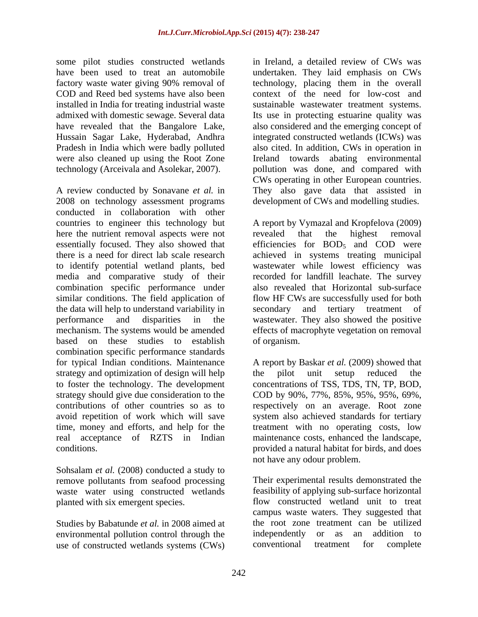some pilot studies constructed wetlands in Ireland, a detailed review of CWs was installed in India for treating industrial waste Pradesh in India which were badly polluted were also cleaned up using the Root Zone

A review conducted by Sonavane *et al.* in They also gave data that assisted in 2008 on technology assessment programs conducted in collaboration with other countries to engineer this technology but A report by Vymazal and Kropfelova (2009) here the nutrient removal aspects were not revealed that the highest removal essentially focused. They also showed that there is a need for direct lab scale research achieved in systems treating municipal to identify potential wetland plants, bed wastewater while lowest efficiency was media and comparative study of their recorded for landfill leachate. The survey combination specific performance under also revealed that Horizontal sub-surface similar conditions. The field application of flow HF CWs are successfully used for both the data will help to understand variability in performance and disparities in the wastewater. They also showed the positive mechanism. The systems would be amended based on these studies to establish combination specific performance standards for typical Indian conditions. Maintenance A report by Baskar *et al.* (2009) showed that strategy and optimization of design will help the pilot unit setup reduced the to foster the technology. The development strategy should give due consideration to the COD by 90%, 77%, 85%, 95%, 95%, 69%, contributions of other countries so as to respectively on an average. Root zone avoid repetition of work which will save system also achieved standards for tertiary time, money and efforts, and help for the treatment with no operating costs, low real acceptance of RZTS in Indian maintenance costs, enhanced the landscape, conditions. provided a natural habitat for birds, and does

Sohsalam *et al.* (2008) conducted a study to remove pollutants from seafood processing waste water using constructed wetlands

Studies by Babatunde *et al.* in 2008 aimed at environmental pollution control through the independently or as an addition to<br>use of constructed wetlands systems (CWs) conventional treatment for complete use of constructed wetlands systems (CWs) conventional treatment for complete

have been used to treat an automobile undertaken. They laid emphasis on CWs factory waste water giving 90% removal of technology, placing them in the overall COD and Reed bed systems have also been context of the need for low-cost and admixed with domestic sewage. Several data Its use in protecting estuarine quality was have revealed that the Bangalore Lake, also considered and the emerging concept of Hussain Sagar Lake, Hyderabad, Andhra integrated constructed wetlands (ICWs) was technology (Arceivala and Asolekar, 2007). pollution was done, and compared with in Ireland, a detailed review of CWs was sustainable wastewater treatment systems. also cited. In addition, CWs in operation in Ireland towards abating environmental CWs operating in other European countries. development of CWs and modelling studies.

> revealed that the highest removal efficiencies for  $BOD<sub>5</sub>$  and  $COD$  were secondary and tertiary treatment effects of macrophyte vegetation on removal of organism.

the pilot unit setup reduced the concentrations of TSS, TDS, TN, TP, BOD, not have any odour problem.

planted with six emergent species. flow constructed wetland unit to treat Their experimental results demonstrated the feasibility of applying sub-surface horizontal campus waste waters. They suggested that the root zone treatment can be utilized independently or as an addition to conventional treatment for complete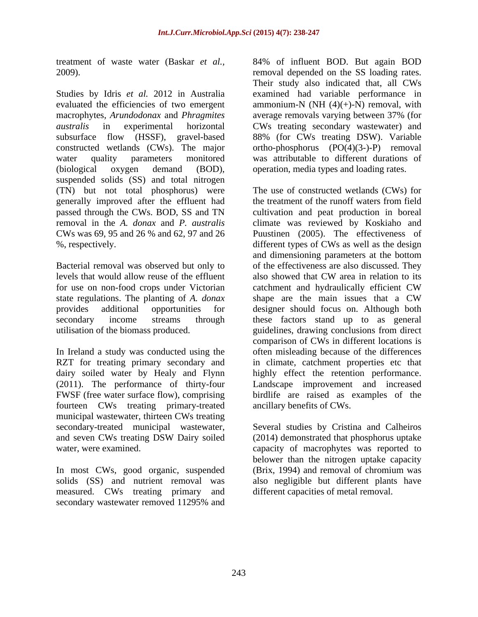evaluated the efficiencies of two emergent macrophytes*, Arundodonax* and *Phragmites* suspended solids (SS) and total nitrogen (TN) but not total phosphorus) were generally improved after the effluent had

Bacterial removal was observed but only to levels that would allow reuse of the effluent for use on non-food crops under Victorian catchment and hydraulically efficient CW state regulations. The planting of *A. donax*

In Ireland a study was conducted using the (2011). The performance of thirty-four FWSF (free water surface flow), comprising fourteen CWs treating primary-treated municipal wastewater, thirteen CWs treating secondary-treated municipal wastewater, Several studies by Cristina and Calheiros and seven CWs treating DSW Dairy soiled

solids (SS) and nutrient removal was measured. CWs treating primary and secondary wastewater removed 11295% and

treatment of waste water (Baskar *et al.,* 84% of influent BOD. But again BOD 2009). removal depended on the SS loading rates. Studies by Idris *et al.* 2012 in Australia examined had variable performance in *australis* in experimental horizontal CWs treating secondary wastewater) and subsurface flow (HSSF), gravel-based 88% (for CWs treating DSW). Variable constructed wetlands (CWs). The major ortho-phosphorus (PO(4)(3-)-P) removal water quality parameters monitored was attributable to different durations of (biological oxygen demand (BOD), operation, media types and loading rates. Their study also indicated that, all CWs ammonium-N (NH $(4)(+)$ -N) removal, with average removals varying between 37% (for

passed through the CWs. BOD, SS and TN cultivation and peat production in boreal removal in the *A. donax* and *P. australis* climate was reviewed by Koskiaho and CWs was 69, 95 and 26 % and 62, 97 and 26 Puustinen (2005). The effectiveness of %, respectively. different types of CWs as well as the design provides additional opportunities for designer should focus on. Although both secondary income streams through these factors stand up to as general utilisation of the biomass produced. guidelines, drawing conclusions from direct RZT for treating primary secondary and in climate, catchment properties etc that dairy soiled water by Healy and Flynn highly effect the retention performance. The use of constructed wetlands (CWs) for the treatment of the runoff waters from field and dimensioning parameters at the bottom of the effectiveness are also discussed. They also showed that CW area in relation to its catchment and hydraulically efficient CW shape are the main issues that a CW comparison of CWs in different locations is often misleading because of the differences Landscape improvement and increased birdlife are raised as examples of the ancillary benefits of CWs.

water, were examined. capacity of macrophytes was reported to In most CWs, good organic, suspended (Brix, 1994) and removal of chromium was (2014) demonstrated that phosphorus uptake belower than the nitrogen uptake capacity also negligible but different plants have different capacities of metal removal.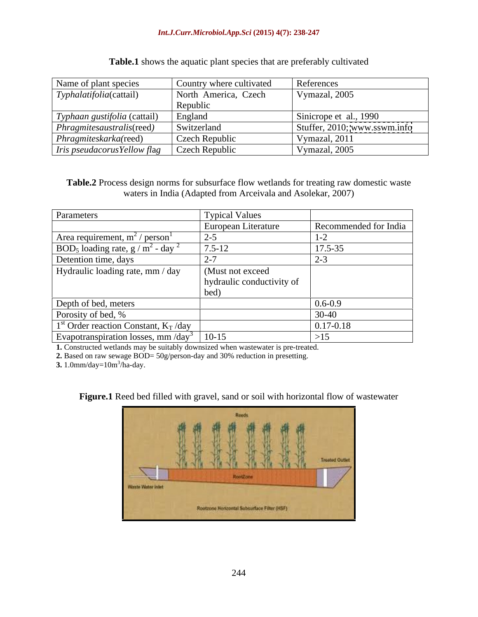#### *Int.J.Curr.Microbiol.App.Sci* **(2015) 4(7): 238-247**

| Name of plant species                | Country where cultivated | References                   |
|--------------------------------------|--------------------------|------------------------------|
| $\mid Typhalatifolia(cattail)$       | North America, Czech     | Vymazal, 2005                |
|                                      | Republic                 |                              |
| Typhaan gustifolia (cattail)         | England                  | Sinicrope et al., 1990       |
| $\vert$ Phragmitesaustralis(reed)    | Switzerland              | Stuffer, 2010; www.sswm.info |
| Phragmiteskarka(reed)                | Czech Republic           | Vymazal, 2011                |
| $\vert$ Iris pseudacorus Yellow flag | Czech Republic           | Vymazal, 2005                |

### **Table.1** shows the aquatic plant species that are preferably cultivated

**Table.2** Process design norms for subsurface flow wetlands for treating raw domestic waste waters in India (Adapted from Arceivala and Asolekar, 2007)

| Parameters                                                     | <b>Typical Values</b>     |                       |
|----------------------------------------------------------------|---------------------------|-----------------------|
|                                                                | European Literature       | Recommended for India |
| Area requirement, $m^2$ / person <sup>1</sup>                  | $2 - 5$                   |                       |
| BOD <sub>5</sub> loading rate, $g/m^2$ - day <sup>2</sup>      | $7.5 - 12$                | 17.5-35               |
| Detention time, days                                           |                           | 2-ر                   |
| Hydraulic loading rate, mm / day                               | (Must not exceed)         |                       |
|                                                                | hydraulic conductivity of |                       |
|                                                                | bed)                      |                       |
| Depth of bed, meters                                           |                           | $0.6 - 0.9$           |
| Porosity of bed, %                                             |                           | $30-40$               |
| $1st$ Order reaction Constant, $K_T/day$                       |                           | $0.17 - 0.18$         |
| Evapotranspiration losses, mm $\langle$ day <sup>3</sup> 10-15 |                           | >15                   |

**1.** Constructed wetlands may be suitably downsized when wastewater is pre-treated.

**2.** Based on raw sewage BOD= 50g/person-day and 30% reduction in presetting.<br>**3.** 1.0mm/day=10m<sup>3</sup>/ha-day.

**3.**  $1.0$ mm/day= $10$ m<sup>3</sup>/ha-day. /ha-day.

**Figure.1** Reed bed filled with gravel, sand or soil with horizontal flow of wastewater

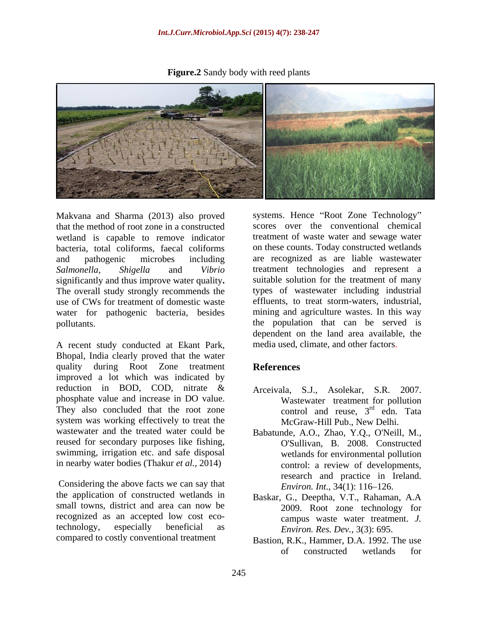**Figure.2** Sandy body with reed plants

Makvana and Sharma (2013) also proved that the method of root zone in a constructed wetland is capable to remove indicator bacteria, total coliforms, faecal coliforms on these counts. Today constructed wetlands and pathogenic microbes including are recognized as are liable wastewater *Salmonella, Shigella* and *Vibrio*  treatment technologies and represent a significantly and thus improve water quality**.** The overall study strongly recommends the types of wastewater including industrial use of CWs for treatment of domestic waste effluents, to treat storm-waters, industrial, water for pathogenic bacteria, besides pollutants. the population that can be served is

A recent study conducted at Ekant Park, Bhopal, India clearly proved that the water quality during Root Zone treatment References improved a lot which was indicated by reduction in BOD, COD, nitrate & Arceivala, S.J., Asolekar, S.R. 2007. phosphate value and increase in DO value. They also concluded that the root zone system was working effectively to treat the wastewater and the treated water could be Babatunde, A.O., Zhao, Y.Q., O'Neill, M., reused for secondary purposes like fishing, <br>
O'Sullivan, B. 2008. Constructed swimming, irrigation etc. and safe disposal in nearby water bodies (Thakur *et al.,* 2014)

Considering the above facts we can say that the application of constructed wetlands in small towns, district and area can now be recognized as an accepted low cost ecotechnology, especially beneficial as compared to costly conventional treatment

systems. Hence "Root Zone Technology" scores over the conventional chemical treatment of waste water and sewage water suitable solution for the treatment of many mining and agriculture wastes. In this way dependent on the land area available, the media used, climate, and other factors.

# **References**

- Wastewater treatment for pollution control and reuse,  $3<sup>rd</sup>$  edn. Tata  $rd$  odn  $T_{\alpha}$   $r_{\alpha}$ edn. Tata McGraw-Hill Pub., New Delhi.
- Babatunde, A.O., Zhao, Y.Q., O'Neill, M., O'Sullivan, B. 2008. Constructed wetlands for environmental pollution control: a review of developments, research and practice in Ireland. *Environ. Int.,* 34(1): 116–126.
- Baskar, G., Deeptha, V.T., Rahaman, A.A 2009. Root zone technology for campus waste water treatment. *J. Environ. Res. Dev.,* 3(3): 695.
- Bastion, R.K., Hammer, D.A. 1992. The use of constructed wetlands for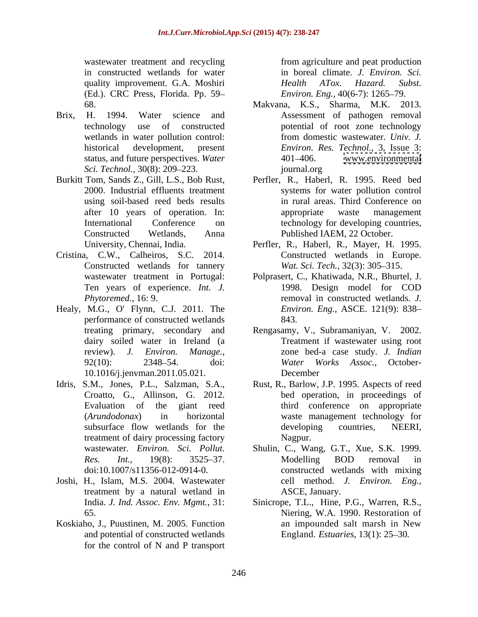quality improvement. G.A. Moshiri *Health ATox. Hazard. Subst.* (Ed.). CRC Press, Florida. Pp. 59

- Brix, H. 1994. Water science and Assessment of pathogen removal
- 
- Cristina, C.W., Calheiros, S.C. 2014. Constructed wetlands for tannery Ten years of experience. *Int. J.*
- Healy, M.G., O' Flynn, C.J. 2011. The performance of constructed wetlands 843. 10.1016/j.jenvman.2011.05.021.
- Idris, S.M., Jones, P.L., Salzman, S.A., Croatto, G., Allinson, G. 2012. treatment of dairy processing factory Nagpur.
- Joshi, H., Islam, M.S. 2004. Wastewater treatment by a natural wetland in
- Koskiaho, J., Puustinen, M. 2005. Function and potential of constructed wetlands for the control of N and P transport

wastewater treatment and recycling from agriculture and peat production in constructed wetlands for water in boreal climate. *J. Environ. Sci.* from agriculture and peat production *Health ATox. Hazard. Subst. Environ. Eng.,* 40(6-7): 1265–79.

- 68. Makvana, K.S., Sharma, M.K. 2013. technology use of constructed potential of root zone technology wetlands in water pollution control: from domestic wastewater. Univ. J. historical development, present *Environ. Res. Technol.,* 3, Issue 3: status, and future perspectives. *Water* 401–406. www.environmental from domestic wastewater. *Univ. J.* 401–406. [www.environmental](http://www.environmental) journal.org
- *Sci. Technol.,* 30(8): 209–223. *Sci. Technol.,* 30(8): 209–223. *Burkitt Tom, Sands Z., Gill, L.S., Bob Rust, Perfler, R., Haberl, R. 1995. Reed bed* 2000. Industrial effluents treatment systems for water pollution control using soil-based reed beds results in rural areas. Third Conference on after 10 years of operation. In: International Conference on technology for developing countries, Constructed Wetlands, Anna Published IAEM, 22 October. Perfler, R., Haberl, R. 1995. Reed bed appropriate waste management
	- University, Chennai, India. Perfler, R., Haberl, R., Mayer, H. 1995. Constructed wetlands in Europe. *Wat. Sci. Tech., 32(3): 305-315.*
	- wastewater treatment in Portugal: Polprasert, C., Khatiwada, N.R., Bhurtel, J. *Phytoremed.,* 16: 9. removal in constructed wetlands. *J.*  1998. Design model for COD *Environ. Eng.*, ASCE. 121(9): 838 843.
	- treating primary, secondary and Rengasamy, V., Subramaniyan, V. 2002. dairy soiled water in Ireland (a Treatment if wastewater using root review). *J. Environ. Manage*., zone bed-a case study. *J. Indian*<br>92(10): 2348–54. doi: *Water Works Assoc.*, Octoberzone bed-a case study. *J. Indian* Water Works Assoc., October-December **December**
	- Evaluation of the giant reed third conference on appropriate (*Arundodonax*) in horizontal waste management technology for subsurface flow wetlands for the developing countries, NEERI, Rust, R., Barlow, J.P. 1995. Aspects of reed bed operation, in proceedings of developing countries, NEERI, Nagpur.
	- wastewater. *Environ. Sci. Pollut.* Shulin, C., Wang, G.T., Xue, S.K. 1999. *Res. Int.*, 19(8): 3525–37. Modelling BOD removal in doi:10.1007/s11356-012-0914-0. constructed wetlands with mixing Modelling BOD removal in cell method. *J. Environ. Eng.,* ASCE, January.
	- India. *J. Ind. Assoc. Env. Mgmt.*, 31: 65. Niering, W.A. 1990. Restoration of Sinicrope, T.L., Hine, P.G., Warren, R.S., Niering, W.A. 1990. Restoration of an impounded salt marsh in New England. *Estuaries*, 13(1): 25–30.